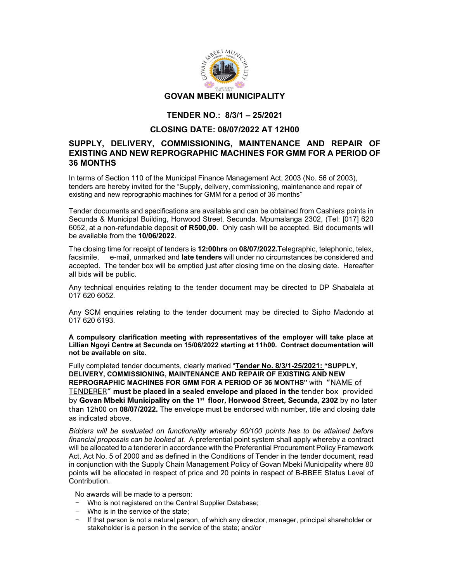

## TENDER NO.: 8/3/1 – 25/2021

## CLOSING DATE: 08/07/2022 AT 12H00

## SUPPLY, DELIVERY, COMMISSIONING, MAINTENANCE AND REPAIR OF EXISTING AND NEW REPROGRAPHIC MACHINES FOR GMM FOR A PERIOD OF 36 MONTHS

In terms of Section 110 of the Municipal Finance Management Act, 2003 (No. 56 of 2003), tenders are hereby invited for the "Supply, delivery, commissioning, maintenance and repair of existing and new reprographic machines for GMM for a period of 36 months"

Tender documents and specifications are available and can be obtained from Cashiers points in Secunda & Municipal Building, Horwood Street, Secunda. Mpumalanga 2302, (Tel: [017] 620 6052, at a non-refundable deposit **of R500,00**. Only cash will be accepted. Bid documents will be available from the **10/06/2022**.

The closing time for receipt of tenders is 12:00hrs on 08/07/2022. Telegraphic, telephonic, telex, facsimile, e-mail, unmarked and late tenders will under no circumstances be considered and accepted. The tender box will be emptied just after closing time on the closing date. Hereafter all bids will be public.

Any technical enquiries relating to the tender document may be directed to DP Shabalala at 017 620 6052.

Any SCM enquiries relating to the tender document may be directed to Sipho Madondo at 017 620 6193.

A compulsory clarification meeting with representatives of the employer will take place at Lillian Ngoyi Centre at Secunda on 15/06/2022 starting at 11h00. Contract documentation will not be available on site.

Fully completed tender documents, clearly marked "Tender No. 8/3/1-25/2021: "SUPPLY, DELIVERY, COMMISSIONING, MAINTENANCE AND REPAIR OF EXISTING AND NEW REPROGRAPHIC MACHINES FOR GMM FOR A PERIOD OF 36 MONTHS" with "NAME of TENDERER" must be placed in a sealed envelope and placed in the tender box provided by Govan Mbeki Municipality on the 1<sup>st</sup> floor, Horwood Street, Secunda, 2302 by no later than 12h00 on 08/07/2022. The envelope must be endorsed with number, title and closing date as indicated above.

Bidders will be evaluated on functionality whereby 60/100 points has to be attained before financial proposals can be looked at. A preferential point system shall apply whereby a contract will be allocated to a tenderer in accordance with the Preferential Procurement Policy Framework Act, Act No. 5 of 2000 and as defined in the Conditions of Tender in the tender document, read in conjunction with the Supply Chain Management Policy of Govan Mbeki Municipality where 80 points will be allocated in respect of price and 20 points in respect of B-BBEE Status Level of Contribution.

No awards will be made to a person:

- Who is not registered on the Central Supplier Database;
- Who is in the service of the state;
- If that person is not a natural person, of which any director, manager, principal shareholder or stakeholder is a person in the service of the state; and/or